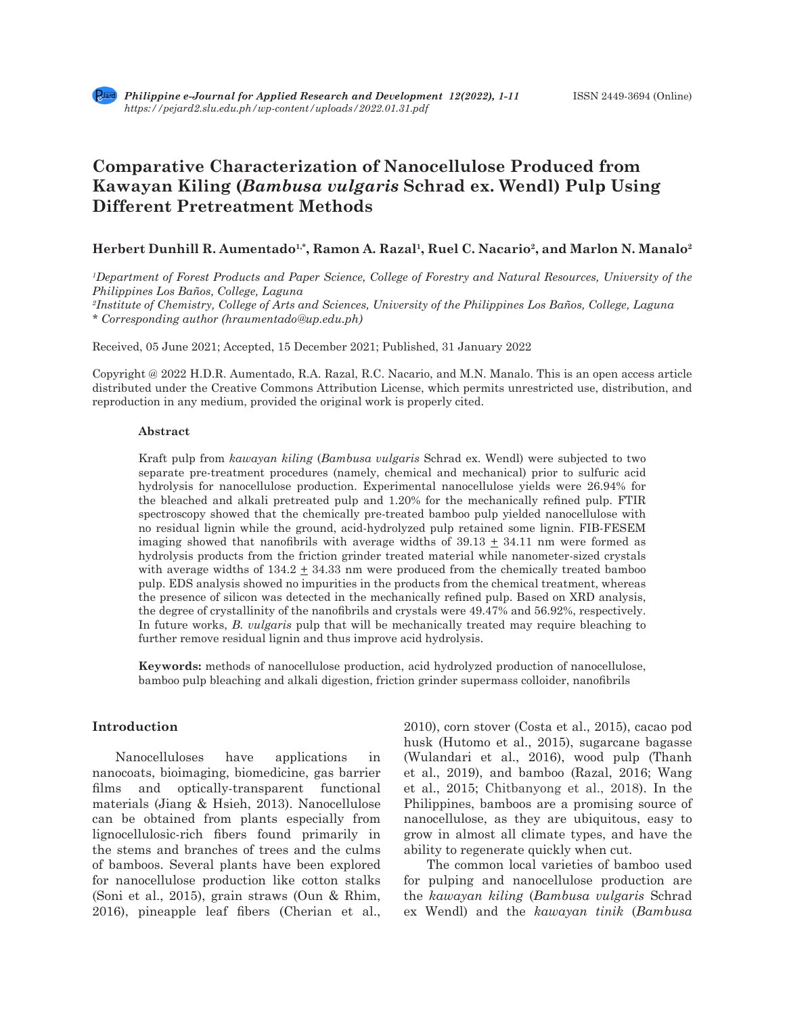# **Comparative Characterization of Nanocellulose Produced from Kawayan Kiling (***Bambusa vulgaris* **Schrad ex. Wendl) Pulp Using Different Pretreatment Methods**

# Herbert Dunhill R. Aumentado<sup>1,\*</sup>, Ramon A. Razal<sup>1</sup>, Ruel C. Nacario<sup>2</sup>, and Marlon N. Manalo<sup>2</sup>

*1 Department of Forest Products and Paper Science, College of Forestry and Natural Resources, University of the Philippines Los Baños, College, Laguna*

*2 Institute of Chemistry, College of Arts and Sciences, University of the Philippines Los Baños, College, Laguna \* Corresponding author (hraumentado@up.edu.ph)*

Received, 05 June 2021; Accepted, 15 December 2021; Published, 31 January 2022

Copyright @ 2022 H.D.R. Aumentado, R.A. Razal, R.C. Nacario, and M.N. Manalo. This is an open access article distributed under the Creative Commons Attribution License, which permits unrestricted use, distribution, and reproduction in any medium, provided the original work is properly cited.

#### **Abstract**

Kraft pulp from *kawayan kiling* (*Bambusa vulgaris* Schrad ex. Wendl) were subjected to two separate pre-treatment procedures (namely, chemical and mechanical) prior to sulfuric acid hydrolysis for nanocellulose production. Experimental nanocellulose yields were 26.94% for the bleached and alkali pretreated pulp and 1.20% for the mechanically refined pulp. FTIR spectroscopy showed that the chemically pre-treated bamboo pulp yielded nanocellulose with no residual lignin while the ground, acid-hydrolyzed pulp retained some lignin. FIB-FESEM imaging showed that nanofibrils with average widths of  $39.13 \pm 34.11$  nm were formed as hydrolysis products from the friction grinder treated material while nanometer-sized crystals with average widths of  $134.2 \pm 34.33$  nm were produced from the chemically treated bamboo pulp. EDS analysis showed no impurities in the products from the chemical treatment, whereas the presence of silicon was detected in the mechanically refined pulp. Based on XRD analysis, the degree of crystallinity of the nanofibrils and crystals were 49.47% and 56.92%, respectively. In future works, *B. vulgaris* pulp that will be mechanically treated may require bleaching to further remove residual lignin and thus improve acid hydrolysis.

**Keywords:** methods of nanocellulose production, acid hydrolyzed production of nanocellulose, bamboo pulp bleaching and alkali digestion, friction grinder supermass colloider, nanofibrils

#### **Introduction**

Nanocelluloses have applications in nanocoats, bioimaging, biomedicine, gas barrier films and optically-transparent functional materials (Jiang & Hsieh, 2013). Nanocellulose can be obtained from plants especially from lignocellulosic-rich fibers found primarily in the stems and branches of trees and the culms of bamboos. Several plants have been explored for nanocellulose production like cotton stalks (Soni et al., 2015), grain straws (Oun & Rhim, 2016), pineapple leaf fibers (Cherian et al., 2010), corn stover (Costa et al., 2015), cacao pod husk (Hutomo et al., 2015), sugarcane bagasse (Wulandari et al., 2016), wood pulp (Thanh et al., 2019), and bamboo (Razal, 2016; Wang et al., 2015; Chitbanyong et al., 2018). In the Philippines, bamboos are a promising source of nanocellulose, as they are ubiquitous, easy to grow in almost all climate types, and have the ability to regenerate quickly when cut.

The common local varieties of bamboo used for pulping and nanocellulose production are the *kawayan kiling* (*Bambusa vulgaris* Schrad ex Wendl) and the *kawayan tinik* (*Bambusa*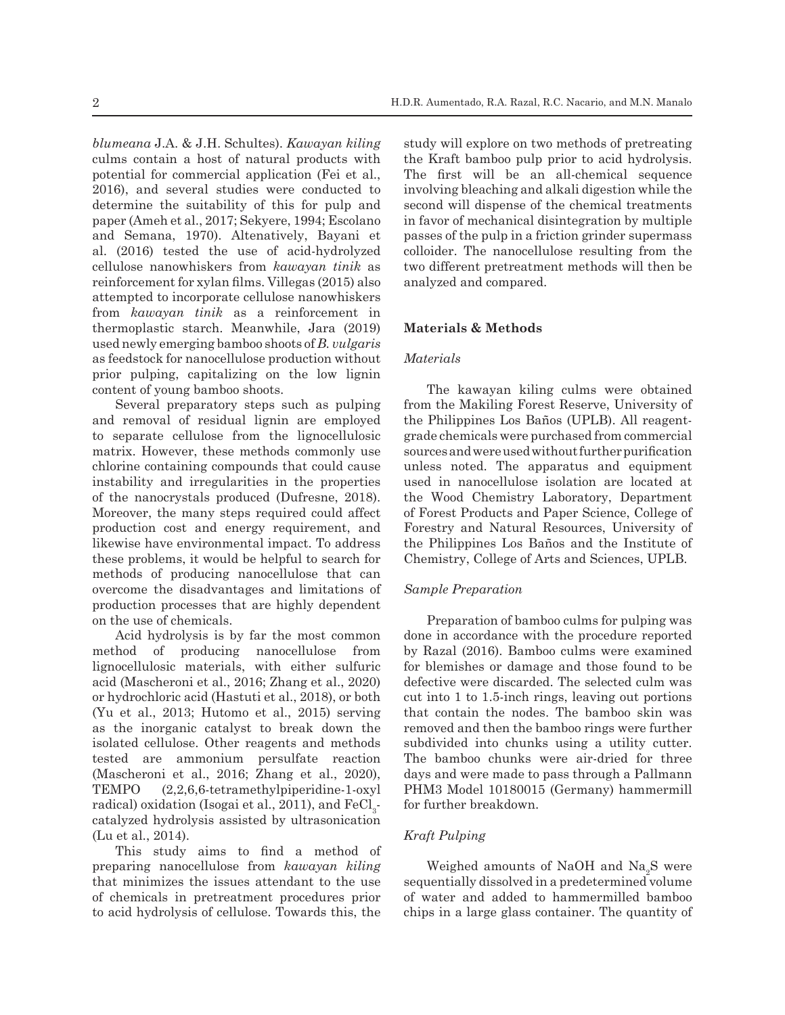*blumeana* J.A. & J.H. Schultes). *Kawayan kiling* culms contain a host of natural products with potential for commercial application (Fei et al., 2016), and several studies were conducted to determine the suitability of this for pulp and paper (Ameh et al., 2017; Sekyere, 1994; Escolano and Semana, 1970). Altenatively, Bayani et al. (2016) tested the use of acid-hydrolyzed cellulose nanowhiskers from *kawayan tinik* as reinforcement for xylan films. Villegas (2015) also attempted to incorporate cellulose nanowhiskers from *kawayan tinik* as a reinforcement in thermoplastic starch. Meanwhile, Jara (2019) used newly emerging bamboo shoots of *B. vulgaris* as feedstock for nanocellulose production without prior pulping, capitalizing on the low lignin content of young bamboo shoots.

Several preparatory steps such as pulping and removal of residual lignin are employed to separate cellulose from the lignocellulosic matrix. However, these methods commonly use chlorine containing compounds that could cause instability and irregularities in the properties of the nanocrystals produced (Dufresne, 2018). Moreover, the many steps required could affect production cost and energy requirement, and likewise have environmental impact. To address these problems, it would be helpful to search for methods of producing nanocellulose that can overcome the disadvantages and limitations of production processes that are highly dependent on the use of chemicals.

Acid hydrolysis is by far the most common method of producing nanocellulose from lignocellulosic materials, with either sulfuric acid (Mascheroni et al., 2016; Zhang et al., 2020) or hydrochloric acid (Hastuti et al., 2018), or both (Yu et al., 2013; Hutomo et al., 2015) serving as the inorganic catalyst to break down the isolated cellulose. Other reagents and methods tested are ammonium persulfate reaction (Mascheroni et al., 2016; Zhang et al., 2020), TEMPO (2,2,6,6-tetramethylpiperidine-1-oxyl radical) oxidation (Isogai et al., 2011), and  ${\rm FeCl}_{3}$ catalyzed hydrolysis assisted by ultrasonication (Lu et al., 2014).

This study aims to find a method of preparing nanocellulose from *kawayan kiling* that minimizes the issues attendant to the use of chemicals in pretreatment procedures prior to acid hydrolysis of cellulose. Towards this, the study will explore on two methods of pretreating the Kraft bamboo pulp prior to acid hydrolysis. The first will be an all-chemical sequence involving bleaching and alkali digestion while the second will dispense of the chemical treatments in favor of mechanical disintegration by multiple passes of the pulp in a friction grinder supermass colloider. The nanocellulose resulting from the two different pretreatment methods will then be analyzed and compared.

### **Materials & Methods**

# *Materials*

The kawayan kiling culms were obtained from the Makiling Forest Reserve, University of the Philippines Los Baños (UPLB). All reagentgrade chemicals were purchased from commercial sources and were used without further purification unless noted. The apparatus and equipment used in nanocellulose isolation are located at the Wood Chemistry Laboratory, Department of Forest Products and Paper Science, College of Forestry and Natural Resources, University of the Philippines Los Baños and the Institute of Chemistry, College of Arts and Sciences, UPLB.

# *Sample Preparation*

Preparation of bamboo culms for pulping was done in accordance with the procedure reported by Razal (2016). Bamboo culms were examined for blemishes or damage and those found to be defective were discarded. The selected culm was cut into 1 to 1.5-inch rings, leaving out portions that contain the nodes. The bamboo skin was removed and then the bamboo rings were further subdivided into chunks using a utility cutter. The bamboo chunks were air-dried for three days and were made to pass through a Pallmann PHM3 Model 10180015 (Germany) hammermill for further breakdown.

# *Kraft Pulping*

Weighed amounts of NaOH and  $\mathrm{Na}_2\mathrm{S}$  were sequentially dissolved in a predetermined volume of water and added to hammermilled bamboo chips in a large glass container. The quantity of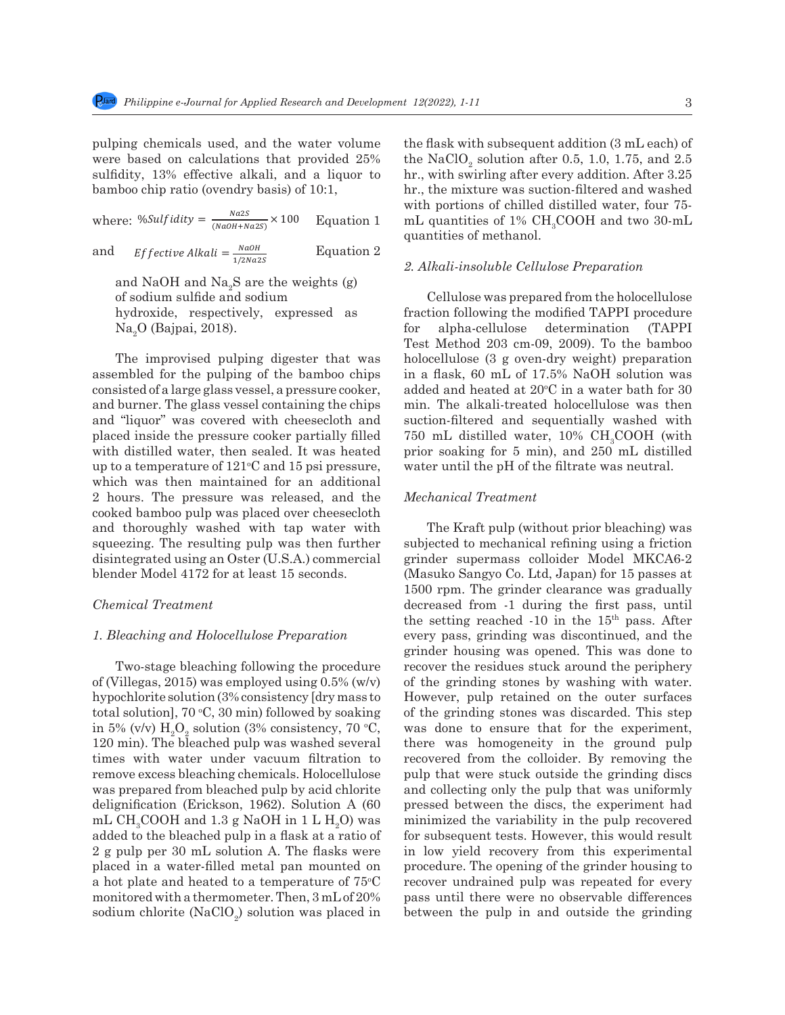pulping chemicals used, and the water volume were based on calculations that provided  $25%$  the NaClO<sub>3</sub> solution sulfidity,  $13%$  effective alkali, and a liquor to hr., with swirling a  $b$ amboo chip ratio (ovendry basis) of 10:1, hr., t were based on calculations that provided  $25\%$  for practice glass control

where: %Sulfidity =  $\frac{N \cdot dZS}{(N \cdot a \cdot OH + N \cdot a \cdot ZS)} \times 100$  Equation 1 m.

and *Effective Alkali* =  $\frac{NaOH}{1/2Na2s}$  Equation 2

and NaOH and Na<sub>2</sub>S are the weights (g) of sodium sulfide and sodium hydroxide, respectively, expressed as  $Na<sub>2</sub>O$  (Bajpai, 2018). The improvement of the pulping of the pulping of the pulping of the pulping of the pulping of the pulping of the pulping of the pulping of the pulping of the pulping of the pulping of the pulpin

The improvised pulping digester that was concellulose (3 g o assembled for the pulping of the bamboo chips in a flask, 60 mL  $\alpha$ consisted of a large glass vessel, a pressure cooker, added and heated a and burner. The glass vessel containing the chips min. The alkali-tre and "liquor" was covered with cheesecloth and placed inside the pressure cooker partially filled with distilled water, then sealed. It was heated up to a temperature of 121<sup>°</sup>C and 15 psi pressure, which was then maintained for an additional 2 hours. The pressure was released, and the *Mechanical Treatment* 2 hours. The pressure was released, and the *mechanical reduns* cooked bamboo pulp was placed over cheesecloth and thoroughly washed with tap water with The Kraft pulp squeezing. The resulting pulp was then further subjected to mechan disintegrated using an Oster (U.S.A.) commercial grinder supermass blender Model 4172 for at least 15 seconds. (Masuko Sangyo Co The improvised pulping digester that was healocellulose (3 g  $\sigma$ sooked bamboo pulp was placed over cheesectoring (30% consequences). The bleached pulp was placed over cheesectoring pulp was pulp was pulp was pulp was pulp was pulp was pulp was pulp was pulp was pulp was pulp was pulp w

#### 1. Bleaching and Holocellulose Preparation every pass, grind

Two-stage bleaching following the procedure of (Villegas, 2015) was employed using 0.5% (w/v) hypochlorite solution (3% consistency [dry mass to total solution],  $70 °C$ ,  $30$  min) followed by soaking in 5% (v/v)  $H_2O_2$  solution (3% consistency, 70 °C, 120 min). The bleached pulp was washed several times with water under vacuum filtration to remove excess bleaching chemicals. Holocellulose was prepared from bleached pulp by acid chlorite delignification (Erickson, 1962). Solution A (60 mL  $\text{CH}_{3}\text{COOH}$  and 1.3 g NaOH in 1 L  $\text{H}_{2}\text{O}$ ) was added to the bleached pulp in a flask at a ratio of 2 g pulp per 30 mL solution A. The flasks were placed in a water-filled metal pan mounted on a hot plate and heated to a temperature of  $75^{\circ}\text{C}$ monitored with a thermometer. Then, 3 mL of 20% sodium chlorite (NaClO<sub>2</sub>) solution was placed in the flask with subsequent addition (3 mL each) of the NaClO<sub>2</sub> solution after 0.5, 1.0, 1.75, and 2.5 hr., with swirling after every addition. After 3.25 hr., the mixture was suction-filtered and washed with portions of chilled distilled water, four 75 mL quantities of  $1\%$  CH<sub>3</sub>COOH and two 30-mL quantities of methanol.

#### *2. Alkali-insoluble Cellulose Preparation*

Cellulose was prepared from the holocellulose fraction following the modified TAPPI procedure for alpha-cellulose determination (TAPPI  $T_{\text{eq}}$ <sup>2</sup> ( $\text{Lajpai}$ , 2010). To the bamboo  $T_{\text{est}}$  and  $T_{\text{eff}}$  and  $203 \text{ cm} \cdot 09$ ,  $2009$ ). To the bamboo holocellulose (3 g oven-dry weight) preparation in a flask, 60 mL of 17.5% NaOH solution was added and heated at  $20^{\circ}\mathrm{C}$  in a water bath for  $30$ min. The alkali-treated holocellulose was then suction-filtered and sequentially washed with 750 mL distilled water,  $10\% \text{ CH}_3\text{COOH}$  (with prior soaking for 5 min), and 250 mL distilled water until the pH of the filtrate was neutral.

#### *Mechanical Treatment*

*Chemical Treatment* **131 Then, 3 ml** of 2000 spin. 1 ml g in the flash was placed in the flash with subsequent of  $\frac{1}{2}$ The Kraft pulp (without prior bleaching) was subjected to mechanical refining using a friction grinder supermass colloider Model MKCA6-2 (Masuko Sangyo Co. Ltd, Japan) for 15 passes at mounted the case is the second mounted on a hot plate and heated to a temperature of  $1500$  rpm. The grinder clearance was gradually Chemical Treatment decreased from 1 during the first pass, until the setting reached  $-10$  in the  $15<sup>th</sup>$  pass. After every pass, grinding was discontinued, and the grinder housing was opened. This was done to recover the residues stuck around the periphery of the grinding stones by washing with water. However, pulp retained on the outer surfaces of the grinding stones was discarded. This step was done to ensure that for the experiment, there was homogeneity in the ground pulp recovered from the colloider. By removing the pulp that were stuck outside the grinding discs and collecting only the pulp that was uniformly pressed between the discs, the experiment had minimized the variability in the pulp recovered for subsequent tests. However, this would result in low yield recovery from this experimental procedure. The opening of the grinder housing to recover undrained pulp was repeated for every pass until there were no observable differences between the pulp in and outside the grinding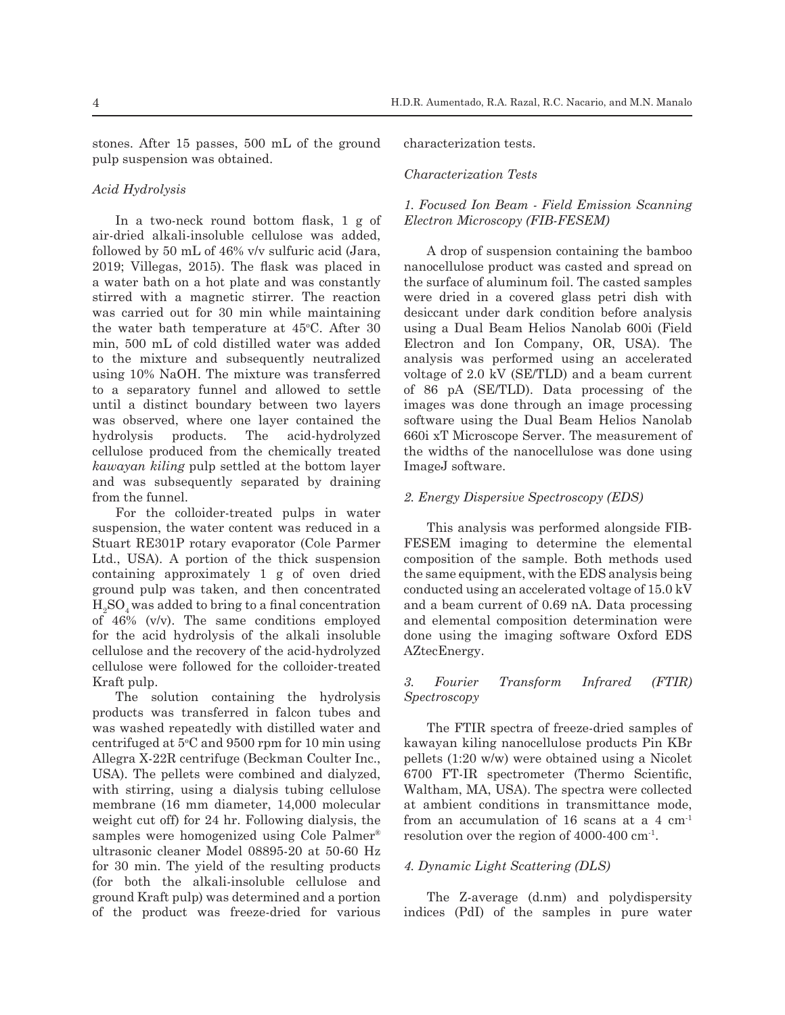stones. After 15 passes, 500 mL of the ground pulp suspension was obtained.

# *Acid Hydrolysis*

In a two-neck round bottom flask, 1 g of air-dried alkali-insoluble cellulose was added, followed by 50 mL of 46% v/v sulfuric acid (Jara, 2019; Villegas, 2015). The flask was placed in a water bath on a hot plate and was constantly stirred with a magnetic stirrer. The reaction was carried out for 30 min while maintaining the water bath temperature at 45°C. After 30 min, 500 mL of cold distilled water was added to the mixture and subsequently neutralized using 10% NaOH. The mixture was transferred to a separatory funnel and allowed to settle until a distinct boundary between two layers was observed, where one layer contained the hydrolysis products. The acid-hydrolyzed cellulose produced from the chemically treated *kawayan kiling* pulp settled at the bottom layer and was subsequently separated by draining from the funnel.

For the colloider-treated pulps in water suspension, the water content was reduced in a Stuart RE301P rotary evaporator (Cole Parmer Ltd., USA). A portion of the thick suspension containing approximately 1 g of oven dried ground pulp was taken, and then concentrated  $\mathrm{H}_2\mathrm{SO}_4$  was added to bring to a final concentration of 46% (v/v). The same conditions employed for the acid hydrolysis of the alkali insoluble cellulose and the recovery of the acid-hydrolyzed cellulose were followed for the colloider-treated Kraft pulp.

The solution containing the hydrolysis products was transferred in falcon tubes and was washed repeatedly with distilled water and centrifuged at  $5^{\circ}$ C and  $9500$  rpm for 10 min using Allegra X-22R centrifuge (Beckman Coulter Inc., USA). The pellets were combined and dialyzed, with stirring, using a dialysis tubing cellulose membrane (16 mm diameter, 14,000 molecular weight cut off) for 24 hr. Following dialysis, the samples were homogenized using Cole Palmer® ultrasonic cleaner Model 08895-20 at 50-60 Hz for 30 min. The yield of the resulting products (for both the alkali-insoluble cellulose and ground Kraft pulp) was determined and a portion of the product was freeze-dried for various

characterization tests.

#### *Characterization Tests*

# *1. Focused Ion Beam - Field Emission Scanning Electron Microscopy (FIB-FESEM)*

A drop of suspension containing the bamboo nanocellulose product was casted and spread on the surface of aluminum foil. The casted samples were dried in a covered glass petri dish with desiccant under dark condition before analysis using a Dual Beam Helios Nanolab 600i (Field Electron and Ion Company, OR, USA). The analysis was performed using an accelerated voltage of 2.0 kV (SE/TLD) and a beam current of 86 pA (SE/TLD). Data processing of the images was done through an image processing software using the Dual Beam Helios Nanolab 660i xT Microscope Server. The measurement of the widths of the nanocellulose was done using ImageJ software.

#### *2. Energy Dispersive Spectroscopy (EDS)*

This analysis was performed alongside FIB-FESEM imaging to determine the elemental composition of the sample. Both methods used the same equipment, with the EDS analysis being conducted using an accelerated voltage of 15.0 kV and a beam current of 0.69 nA. Data processing and elemental composition determination were done using the imaging software Oxford EDS AZtecEnergy.

# *3. Fourier Transform Infrared (FTIR) Spectroscopy*

The FTIR spectra of freeze-dried samples of kawayan kiling nanocellulose products Pin KBr pellets (1:20 w/w) were obtained using a Nicolet 6700 FT-IR spectrometer (Thermo Scientific, Waltham, MA, USA). The spectra were collected at ambient conditions in transmittance mode, from an accumulation of 16 scans at a 4  $cm<sup>-1</sup>$ resolution over the region of 4000-400 cm-1.

# *4. Dynamic Light Scattering (DLS)*

The Z-average (d.nm) and polydispersity indices (PdI) of the samples in pure water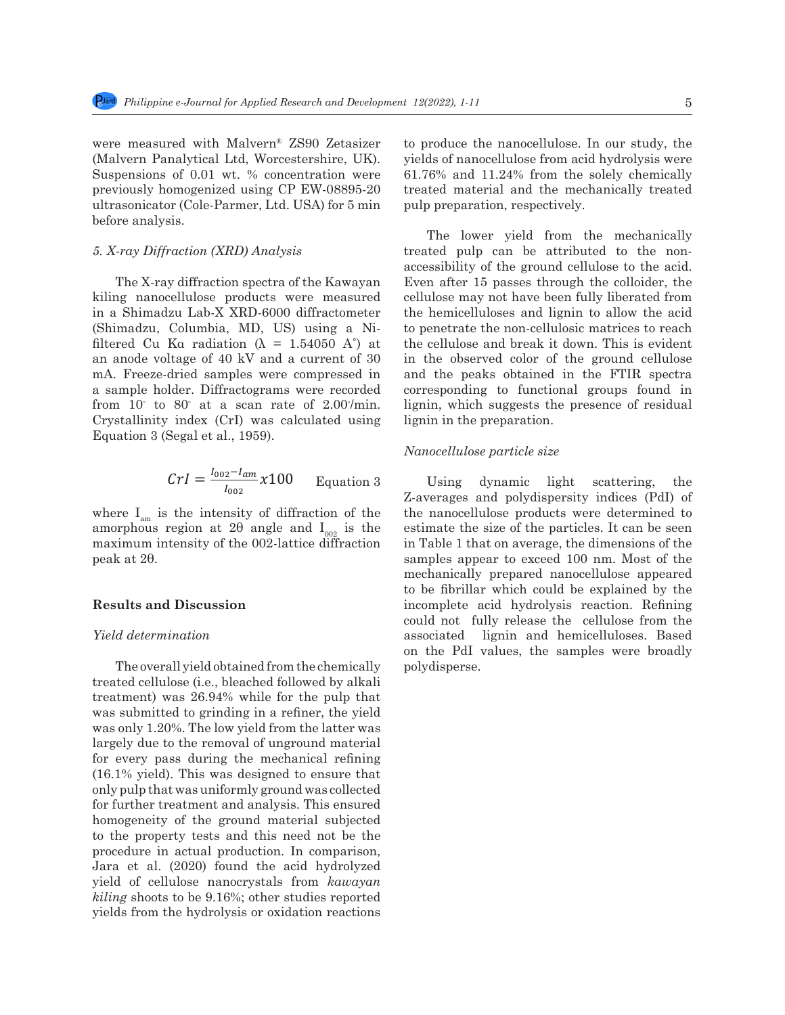were measured with Malvern® ZS90 Zetasizer (Malvern Panalytical Ltd, Worcestershire, UK). Suspensions of 0.01 wt. % concentration were previously homogenized using CP EW-08895-20 ultrasonicator (Cole-Parmer, Ltd. USA) for 5 min before analysis.

# *5. X-ray Diffraction (XRD) Analysis*

The X-ray diffraction spectra of the Kawayan kiling nanocellulose products were measured in a Shimadzu Lab-X XRD-6000 diffractometer (Shimadzu, Columbia, MD, US) using a Nifiltered Cu Ka radiation ( $\lambda = 1.54050$  A°) at an anode voltage of 40 kV and a current of 30 mA. Freeze-dried samples were compressed in a sample holder. Diffractograms were recorded corresponding to full from  $10°$  to 80° at a scan rate of 2.00°/min. lignin, which suggest Crystallinity index (CrI) was calculated using lignin in the preparation Equation 3 (Segal et al., 1959).

$$
Crl = \frac{l_{002} - l_{am}}{l_{002}} \times 100
$$
 Equation 3 Using dynamic

where  $I_{am}$  is the intensity of diffraction of the where  $I_{am}$  is the intensity of diffraction of the last amorphous region at 2 $\theta$  angle and  $I_{002}$  is the estimate the size of the  $\frac{237}{29}$  maximum intensity of the 002-lattice diffraction peak at 2θ.

#### **Results and Discussion**

#### *Yield determination*

The overall yield obtained from the chemically polydisperse. treated cellulose (i.e., bleached followed by alkali treatment) was  $26.94\%$  while for the pulp that was submitted to grinding in a refiner, the yield was only 1.20%. The low yield from the latter was  $\frac{1}{2}$ largely due to the removal of unground material refigred the mechanical material production. In actual production of all production for every pass during the mechanical refining 150 overy pass daring the momandal reming<br>(16.1% yield). This was designed to ensure that only pulp that was uniformly ground was collected for further treatment and analysis. This ensured homogeneity of the ground material subjected to the property tests and this need not be the procedure in actual production. In comparison,  $I_{\text{max}}$  of  $\frac{1}{2}$  (2000), found the noid beduchered Jara et al. (2020) found the acid hydrolyzed <sub>256</sub> the ground cellulose to the acid in the acid in the acid in the set of the ground cellulose nanocrystals from *kawayan kiling* shoots to be 9.16%; other studies reported yields from the hydrolysis or oxidation reactions

to produce the nanocellulose. In our study, the yields of nanocellulose from acid hydrolysis were 61.76% and 11.24% from the solely chemically treated material and the mechanically treated pulp preparation, respectively.

The lower yield from the mechanically treated pulp can be attributed to the nonaccessibility of the ground cellulose to the acid. Even after 15 passes through the colloider, the cellulose may not have been fully liberated from the hemicelluloses and lignin to allow the acid to penetrate the non-cellulosic matrices to reach the cellulose and break it down. This is evident in the observed color of the ground cellulose and the peaks obtained in the FTIR spectra corresponding to functional groups found in lignin, which suggests the presence of residual lignin in the preparation.

# *Nanocellulose particle size*

Using dynamic light scattering, the Z-averages and polydispersity indices (PdI) of the nanocellulose products were determined to estimate the size of the particles. It can be seen in Table 1 that on average, the dimensions of the samples appear to exceed 100 nm. Most of the mechanically prepared nanocellulose appeared to be fibrillar which could be explained by the incomplete acid hydrolysis reaction. Refining could not fully release the cellulose from the associated lignin and hemicelluloses. Based mediated in the contribution and the contribution and the contribution of the contribution of the contribution of the contribution of the contribution of the contribution of the contribution of the contribution of the cont polydisperse.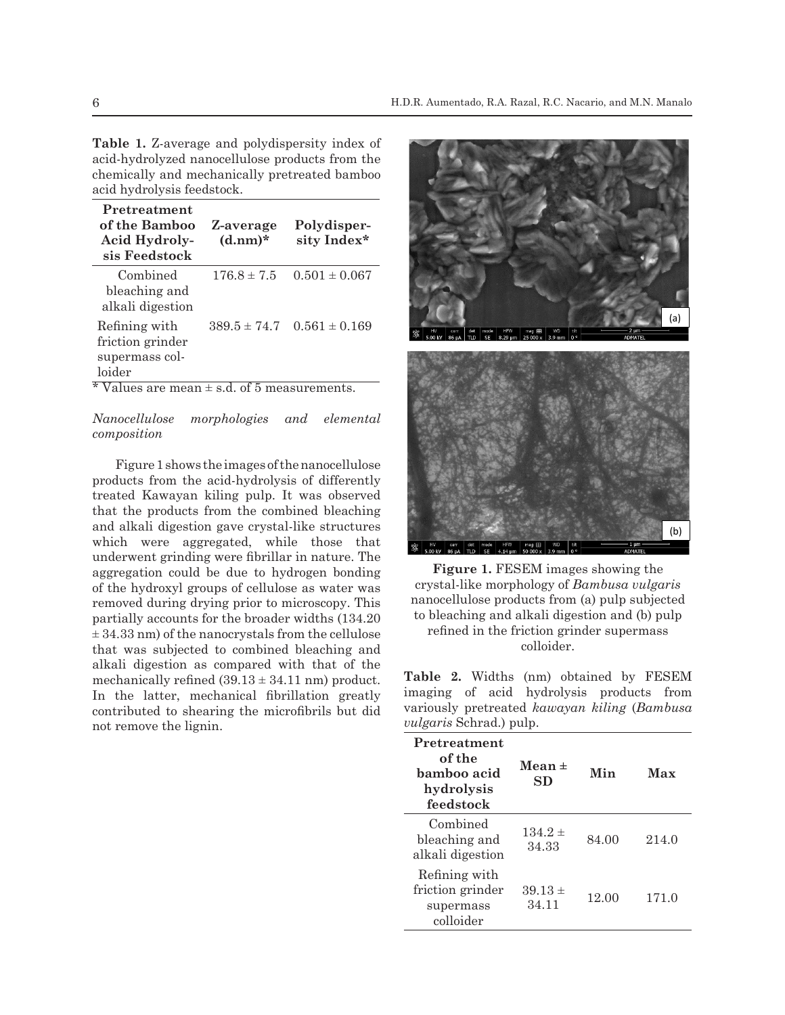**Table 1.** Z-average and polydispersity index of acid-hydrolyzed nanocellulose products from the chemically and mechanically pretreated bamboo acid hydrolysis feedstock.

288

| Pretreatment<br>of the Bamboo<br>Acid Hydroly-<br>sis Feedstock         | Z-average<br>$(d.nm)*$                  | Polydisper-<br>sity Index* |
|-------------------------------------------------------------------------|-----------------------------------------|----------------------------|
| Combined<br>bleaching and<br>alkali digestion                           | $176.8 \pm 7.5$                         | $0.501 \pm 0.067$          |
| Refining with<br>friction grinder<br>supermass col-<br>loider<br>4.77.1 | $389.5 \pm 74.7$<br>п.<br>$\sim$ $\sim$ | $0.561 \pm 0.169$          |

\* Values are mean ± s.d. of 5 measurements.

*Nanocellulose morphologies and elemental composition*

Figure 1 shows the images of the nanocellulose products from the acid-hydrolysis of differently treated Kawayan kiling pulp. It was observed that the products from the combined bleaching and alkali digestion gave crystal-like structures which were aggregated, while those that underwent grinding were fibrillar in nature. The aggregation could be due to hydrogen bonding of the hydroxyl groups of cellulose as water was removed during drying prior to microscopy. This annocellulos partially accounts for the broader widths (134.20)  $\pm$  34.33 nm) of the nanocrystals from the cellulose that was subjected to combined bleaching and **Table 2. Include imaging of acceleration** colloider. alkali digestion as compared with that of the mechanically refined  $(39.13 \pm 34.11 \text{ nm})$  product. In the latter, mechanical fibrillation greatly contributed to shearing the microfibrils but did not remove the lignin. nai<br>.



hydrogen bonding **Figure 1.** FESEM images showing the dose as water was crystal-like morphology of *Bambusa vulgaris* nanocellulose products from (a) pulp subjected to bleaching and alkali digestion and (b) pulp refined in the friction grinder supermass colloider.

**Product. Present of the band imaging** of acid hydrolysis products from nut did variously pretreated *kawayan kiling* (*Bambusa*) *vulgaris* Schrad.) pulp. **Table 2.** Widths (nm) obtained by FESEM

| Pretreatment<br>of the<br>bamboo acid<br>hydrolysis<br>feedstock | $Mean \pm$<br>SD     | Min   | Max   |
|------------------------------------------------------------------|----------------------|-------|-------|
| Combined<br>bleaching and<br>alkali digestion                    | $134.2 \pm$<br>34.33 | 84.00 | 214.0 |
| Refining with<br>friction grinder<br>supermass<br>colloider      | $39.13 \pm$<br>34.11 | 12.00 | 171.0 |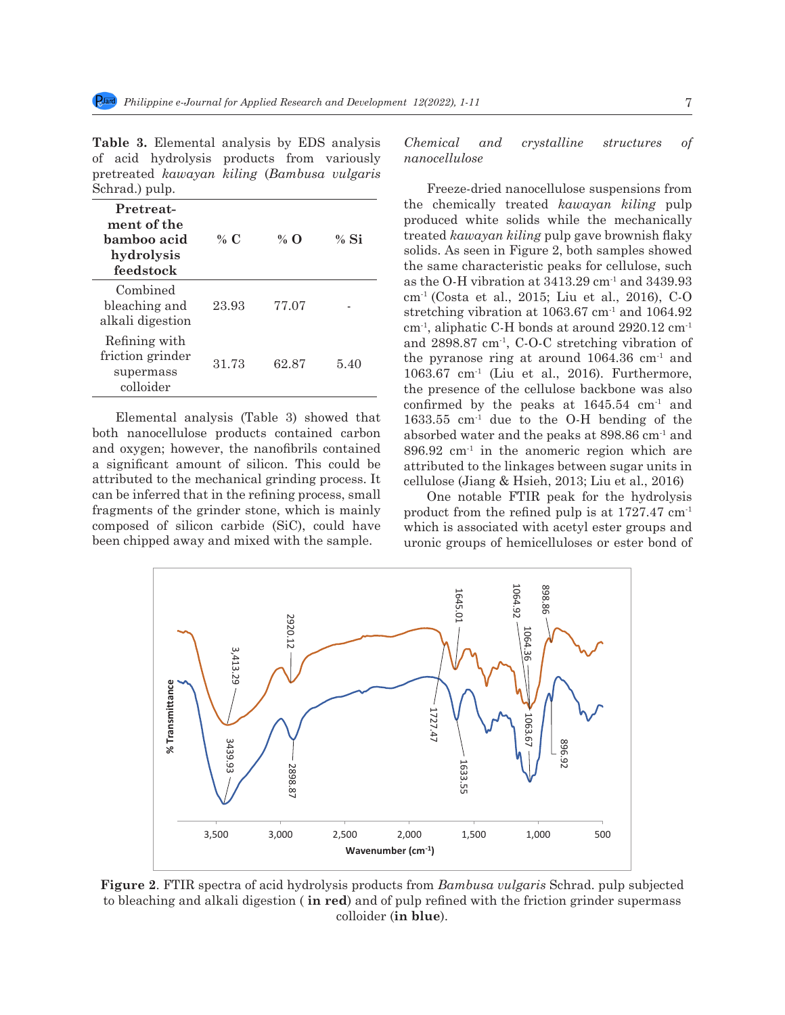**Table 3.** Elemental analysis by EDS analysis of acid hydrolysis products from variously pretreated *kawayan kiling* (*Bambusa vulgaris* Schrad.) pulp.

| Pretreat-<br>ment of the<br>bamboo acid<br>hydrolysis<br>feedstock | % C   | % $\Omega$ | $%$ Si |
|--------------------------------------------------------------------|-------|------------|--------|
| Combined<br>bleaching and<br>alkali digestion                      | 23.93 | 77.07      |        |
| Refining with<br>friction grinder<br>supermass<br>colloider        | 31.73 | 62.87      | 5.40   |

both nanocellulose products contained carbon absorbed water and the peaks at 898.86 cm and oxygen; however, the nanofibrils contained a significant amount of silicon. This could be a significant amount of sincon. This could be<br>attributed to the mechanical grinding process. It can be inferred that in the refining process, small fragments of the grinder stone, which is mainly composed of silicon carbide (SiC), could have been chipped away and mixed with the sample. Juronic groups of hemicellulose (Julie 2013; Liu et al., 2013; Li ibuted to the mechanical grinding process. It cellulose (Jiang & Hsieh, 2013; Liu et al., 2016)  $\frac{1}{2}$  vibration at 340.92 cm<sup>-1</sup> in the 310 cm-1 contract ergion which contract exponent of cities and  $\frac{1}{2}$  is al., 2016; Liu et al., 2016; Liu et al., 2016; Liu et al., 2016; Liu et al., 2016; C-O stretching con  $288$  cm  $14$  cm<sup>-1</sup>

*Chemical and crystalline structures of nanocellulose*

Elemental analysis (Table 3) showed that 1633.55 cm<sup>-1</sup> due to the O-H bending on Freeze-dried nanocellulose suspensions from the chemically treated *kawayan kiling* pulp produced white solids while the mechanically treated *kawayan kiling* pulp gave brownish flaky solids. As seen in Figure 2, both samples showed the same characteristic peaks for cellulose, such as the O-H vibration at  $3413.29$  cm<sup>-1</sup> and  $3439.93$ cm-1 (Costa et al., 2015; Liu et al., 2016), C-O stretching vibration at 1063.67 cm<sup>-1</sup> and 1064.92  $\rm cm^{-1}$ , aliphatic C-H bonds at around 2920.12  $\rm cm^{-1}$ and  $2898.87$  cm<sup>-1</sup>, C-O-C stretching vibration of the pyranose ring at around  $1064.36 \text{ cm}^1$  and 1063.67 cm-1 (Liu et al., 2016). Furthermore, the presence of the cellulose backbone was also confirmed by the peaks at  $1645.54$  cm<sup>-1</sup> and  $1633.55$  cm<sup>-1</sup> due to the O-H bending of the absorbed water and the peaks at 898.86 cm-1 and oxygen; however, the nanofibrils contained  $896.92 \text{ cm}^{-1}$  in the anomeric region which are gnificant amount of silicon. This could be attributed to the linkages between sugar units in  $\frac{1}{2}$ 

be inferred that in the refining process, small one notable FTIR peak for the hydrolysis ments of the grinder stone, which is mainly product from the refined pulp is at  $1727.47 \text{ cm}^{-1}$ posed of silicon carbide (SiC), could have which is associated with acetyl ester groups and uronic groups of hemicelluloses or ester bond of



326 **Figure 2**. FTIR spectra of acid hydrolysis products from *Bambusa vulgaris* Schrad. pulp subjected 327 **Fig 2**. FTIR spectra of acid hydrolysis products from *Bambusa vulgaris* Schrad. pulp to bleaching and alkali digestion (**in red**) and of pulp refined with the friction grinder supermass 329 grinder supermass colloider (**in blue**). colloider (**in blue**).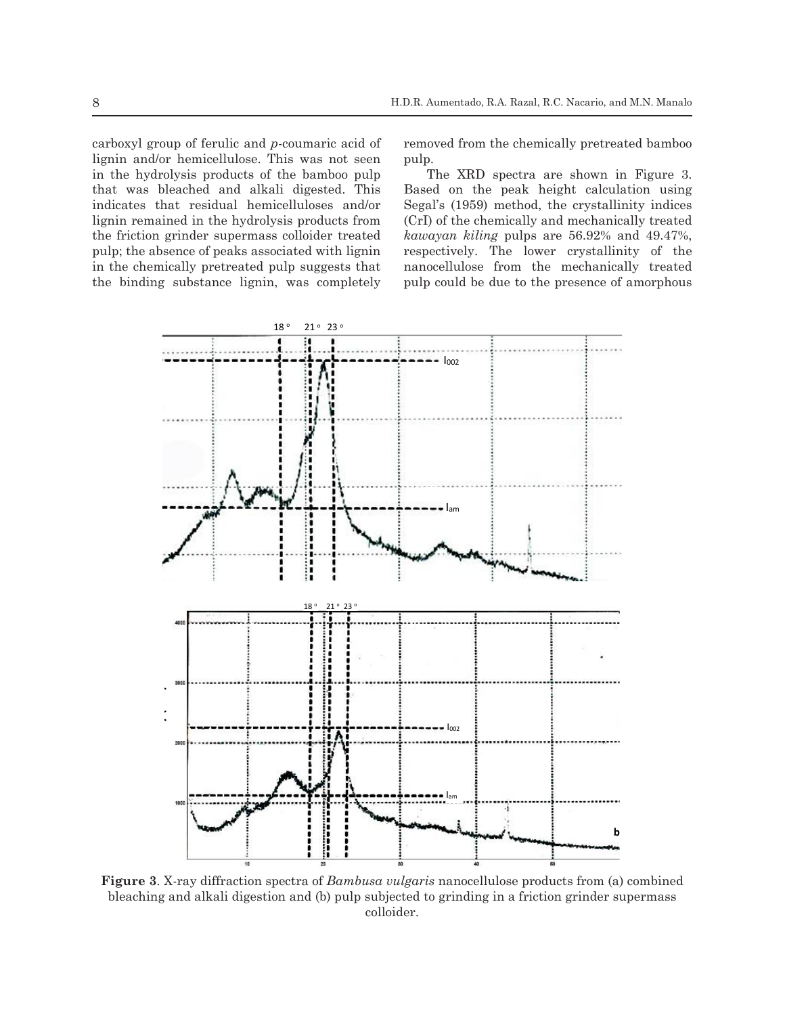carboxyl group of ferulic and *p*-coumaric acid of  $\frac{1}{2}$   $\frac{1}{2}$   $\frac{1}{2}$   $\frac{1}{2}$   $\frac{1}{2}$   $\frac{1}{2}$   $\frac{1}{2}$   $\frac{1}{2}$   $\frac{1}{2}$   $\frac{1}{2}$   $\frac{1}{2}$   $\frac{1}{2}$   $\frac{1}{2}$   $\frac{1}{2}$   $\frac{1}{2}$   $\frac{1}{2}$   $\frac{1}{2}$   $\frac{1}{2}$   $\frac{1}{2}$   $\frac{1}{2}$   $\frac{1}{2}$   $\frac{1}{2}$  in the hydrolysis products of the bamboo pulp The XRD spectra are shown in Figure 3. that was bleached and alkali digested. This pulp; the absence of peaks associated with lignin the binding substance lignin, was completely

339 chemically pretreated bamboo pulp.

removed from the chemically pretreated bamboo pulp.

indicates that residual hemicelluloses and/or Segal's (1959) method, the crystallinity indices lignin remained in the hydrolysis products from (CrI) of the chemically and mechanically treated the friction grinder supermass colloider treated kawayan kiling pulps are 56.92% and 49.47%, pulp, the absence of peaks associated with light the respectively. The lower crystallinity of the in the chemically pretreated pulp suggests that annocellulose from the mechanically treated The XRD spectra are shown in Figure 3. that was bleached and alkali digested. This Based on the peak height calculation using Segal's (1959) method, the crystallinity indices (CrI) of the chemically and mechanically treated *kawayan kiling* pulps are 56.92% and 49.47%, respectively. The lower crystallinity of the nanocellulose from the mechanically treated pulp could be due to the presence of amorphous



35 Figure 3. X-ray diffraction spectra of *Bambusa vulgaris* nanocellulose products from (a) combined bleaching and alkali digestion and (b) pulp subjected to grinding in a friction grinder supermass  $\text{colloider.}$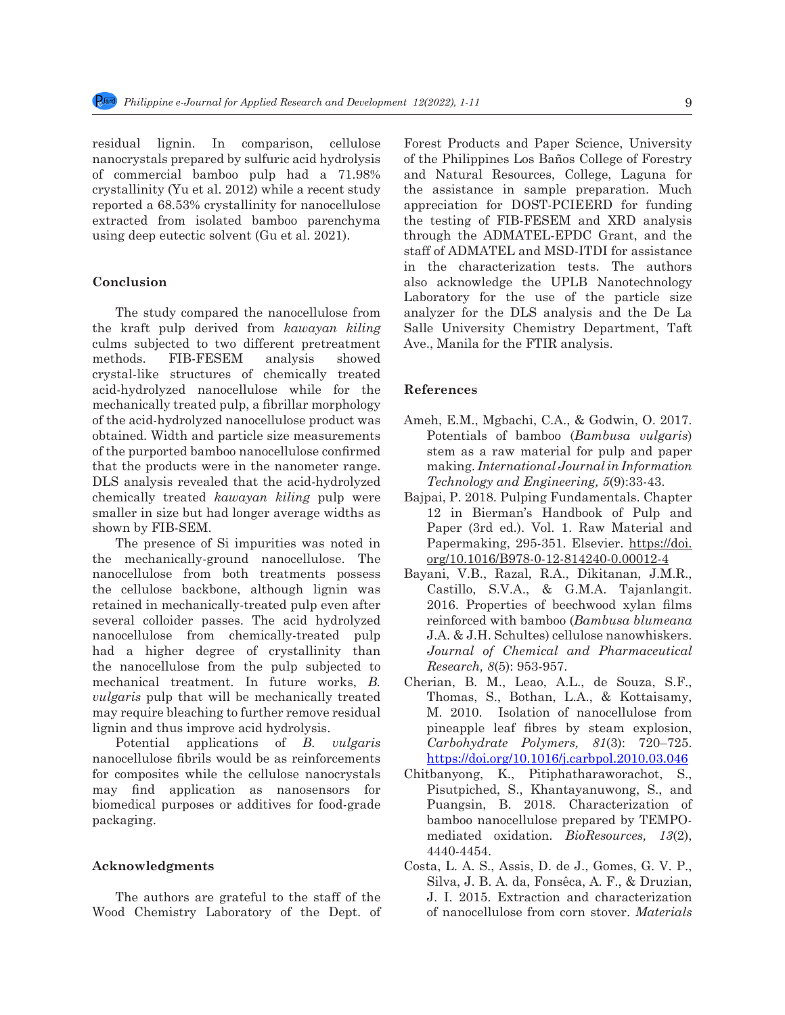residual lignin. In comparison, cellulose nanocrystals prepared by sulfuric acid hydrolysis of commercial bamboo pulp had a 71.98% crystallinity (Yu et al. 2012) while a recent study reported a 68.53% crystallinity for nanocellulose extracted from isolated bamboo parenchyma using deep eutectic solvent (Gu et al. 2021).

# **Conclusion**

The study compared the nanocellulose from the kraft pulp derived from *kawayan kiling* culms subjected to two different pretreatment methods. FIB-FESEM analysis showed crystal-like structures of chemically treated acid-hydrolyzed nanocellulose while for the mechanically treated pulp, a fibrillar morphology of the acid-hydrolyzed nanocellulose product was obtained. Width and particle size measurements of the purported bamboo nanocellulose confirmed that the products were in the nanometer range. DLS analysis revealed that the acid-hydrolyzed chemically treated *kawayan kiling* pulp were smaller in size but had longer average widths as shown by FIB-SEM.

The presence of Si impurities was noted in the mechanically-ground nanocellulose. The nanocellulose from both treatments possess the cellulose backbone, although lignin was retained in mechanically-treated pulp even after several colloider passes. The acid hydrolyzed nanocellulose from chemically-treated pulp had a higher degree of crystallinity than the nanocellulose from the pulp subjected to mechanical treatment. In future works, *B. vulgaris* pulp that will be mechanically treated may require bleaching to further remove residual lignin and thus improve acid hydrolysis.

Potential applications of *B. vulgaris* nanocellulose fibrils would be as reinforcements for composites while the cellulose nanocrystals may find application as nanosensors for biomedical purposes or additives for food-grade packaging.

#### **Acknowledgments**

The authors are grateful to the staff of the Wood Chemistry Laboratory of the Dept. of Forest Products and Paper Science, University of the Philippines Los Baños College of Forestry and Natural Resources, College, Laguna for the assistance in sample preparation. Much appreciation for DOST-PCIEERD for funding the testing of FIB-FESEM and XRD analysis through the ADMATEL-EPDC Grant, and the staff of ADMATEL and MSD-ITDI for assistance in the characterization tests. The authors also acknowledge the UPLB Nanotechnology Laboratory for the use of the particle size analyzer for the DLS analysis and the De La Salle University Chemistry Department, Taft Ave., Manila for the FTIR analysis.

#### **References**

- Ameh, E.M., Mgbachi, C.A., & Godwin, O. 2017. Potentials of bamboo (*Bambusa vulgaris*) stem as a raw material for pulp and paper making. *International Journal in Information Technology and Engineering, 5*(9):33-43.
- Bajpai, P. 2018. Pulping Fundamentals. Chapter 12 in Bierman's Handbook of Pulp and Paper (3rd ed.). Vol. 1. Raw Material and Papermaking, 295-351. Elsevier. https://doi. org/10.1016/B978-0-12-814240-0.00012-4
- Bayani, V.B., Razal, R.A., Dikitanan, J.M.R., Castillo, S.V.A., & G.M.A. Tajanlangit. 2016. Properties of beechwood xylan films reinforced with bamboo (*Bambusa blumeana* J.A. & J.H. Schultes) cellulose nanowhiskers. *Journal of Chemical and Pharmaceutical Research, 8*(5): 953-957.
- Cherian, B. M., Leao, A.L., de Souza, S.F., Thomas, S., Bothan, L.A., & Kottaisamy, M. 2010. Isolation of nanocellulose from pineapple leaf fibres by steam explosion, *Carbohydrate Polymers, 81*(3): 720–725. https://doi.org/10.1016/j.carbpol.2010.03.046
- Chitbanyong, K., Pitiphatharaworachot, S., Pisutpiched, S., Khantayanuwong, S., and Puangsin, B. 2018. Characterization of bamboo nanocellulose prepared by TEMPOmediated oxidation. *BioResources, 13*(2), 4440-4454.
- Costa, L. A. S., Assis, D. de J., Gomes, G. V. P., Silva, J. B. A. da, Fonsêca, A. F., & Druzian, J. I. 2015. Extraction and characterization of nanocellulose from corn stover. *Materials*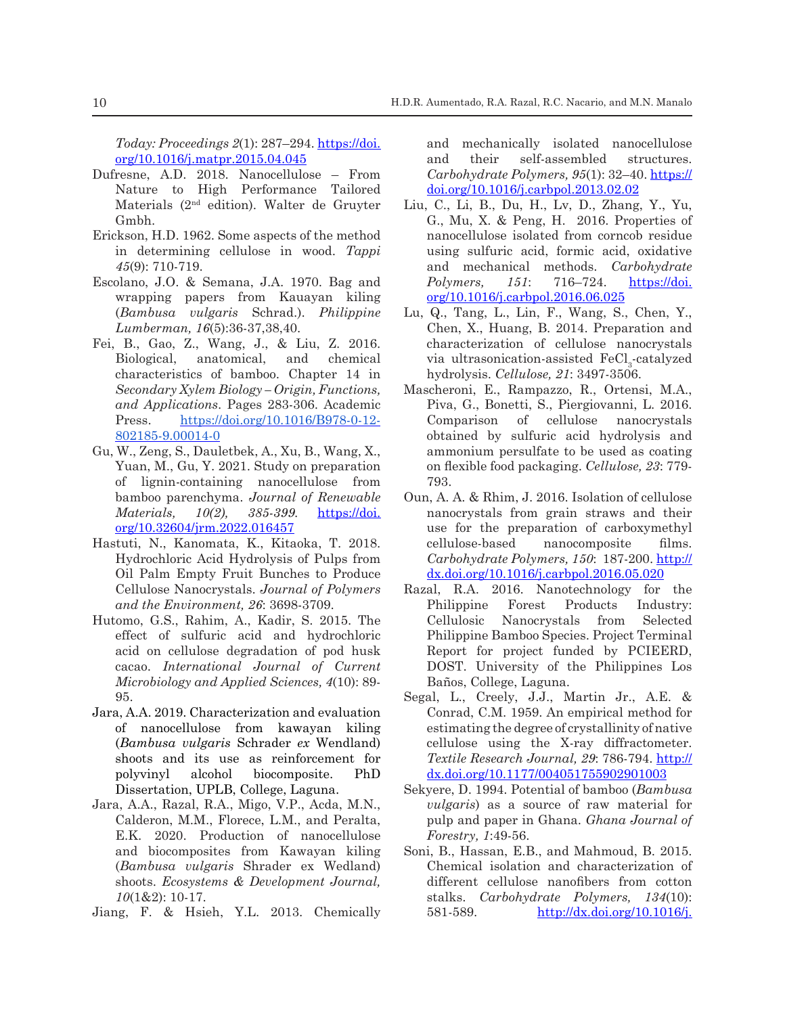*Today: Proceedings 2*(1): 287–294. https://doi. org/10.1016/j.matpr.2015.04.045

- Dufresne, A.D. 2018. Nanocellulose From Nature to High Performance Tailored Materials (2nd edition). Walter de Gruyter Gmbh.
- Erickson, H.D. 1962. Some aspects of the method in determining cellulose in wood. *Tappi 45*(9): 710-719.
- Escolano, J.O. & Semana, J.A. 1970. Bag and wrapping papers from Kauayan kiling (*Bambusa vulgaris* Schrad.). *Philippine Lumberman, 16*(5):36-37,38,40.
- Fei, B., Gao, Z., Wang, J., & Liu, Z. 2016. Biological, anatomical, and chemical characteristics of bamboo. Chapter 14 in *Secondary Xylem Biology – Origin, Functions, and Applications*. Pages 283-306. Academic Press. https://doi.org/10.1016/B978-0-12-802185-9.00014-0
- Gu, W., Zeng, S., Dauletbek, A., Xu, B., Wang, X., Yuan, M., Gu, Y. 2021. Study on preparation of lignin-containing nanocellulose from bamboo parenchyma. *Journal of Renewable Materials, 10(2), 385-399.* https://doi. org/10.32604/jrm.2022.016457
- Hastuti, N., Kanomata, K., Kitaoka, T. 2018. Hydrochloric Acid Hydrolysis of Pulps from Oil Palm Empty Fruit Bunches to Produce Cellulose Nanocrystals. *Journal of Polymers and the Environment, 26*: 3698-3709.
- Hutomo, G.S., Rahim, A., Kadir, S. 2015. The effect of sulfuric acid and hydrochloric acid on cellulose degradation of pod husk cacao. *International Journal of Current Microbiology and Applied Sciences, 4*(10): 89- 95.
- Jara, A.A. 2019. Characterization and evaluation of nanocellulose from kawayan kiling (*Bambusa vulgaris* Schrader *ex* Wendland) shoots and its use as reinforcement for polyvinyl alcohol biocomposite. PhD Dissertation, UPLB, College, Laguna.
- Jara, A.A., Razal, R.A., Migo, V.P., Acda, M.N., Calderon, M.M., Florece, L.M., and Peralta, E.K. 2020. Production of nanocellulose and biocomposites from Kawayan kiling (*Bambusa vulgaris* Shrader ex Wedland) shoots. *Ecosystems & Development Journal, 10*(1&2): 10-17.
- Jiang, F. & Hsieh, Y.L. 2013. Chemically

and mechanically isolated nanocellulose and their self-assembled structures. *Carbohydrate Polymers, 95*(1): 32–40. https:// doi.org/10.1016/j.carbpol.2013.02.02

- Liu, C., Li, B., Du, H., Lv, D., Zhang, Y., Yu, G., Mu, X. & Peng, H. 2016. Properties of nanocellulose isolated from corncob residue using sulfuric acid, formic acid, oxidative and mechanical methods. *Carbohydrate Polymers, 151*: 716–724. https://doi. org/10.1016/j.carbpol.2016.06.025
- Lu, Q., Tang, L., Lin, F., Wang, S., Chen, Y., Chen, X., Huang, B. 2014. Preparation and characterization of cellulose nanocrystals via ultrasonication-assisted  $\text{FeCl}_3$ -catalyzed hydrolysis. *Cellulose, 21*: 3497-3506.
- Mascheroni, E., Rampazzo, R., Ortensi, M.A., Piva, G., Bonetti, S., Piergiovanni, L. 2016. Comparison of cellulose nanocrystals obtained by sulfuric acid hydrolysis and ammonium persulfate to be used as coating on flexible food packaging. *Cellulose, 23*: 779- 793.
- Oun, A. A. & Rhim, J. 2016. Isolation of cellulose nanocrystals from grain straws and their use for the preparation of carboxymethyl cellulose-based nanocomposite films. *Carbohydrate Polymers, 150*: 187-200. http:// dx.doi.org/10.1016/j.carbpol.2016.05.020
- Razal, R.A. 2016. Nanotechnology for the Philippine Forest Products Industry: Cellulosic Nanocrystals from Selected Philippine Bamboo Species. Project Terminal Report for project funded by PCIEERD, DOST. University of the Philippines Los Baños, College, Laguna.
- Segal, L., Creely, J.J., Martin Jr., A.E. & Conrad, C.M. 1959. An empirical method for estimating the degree of crystallinity of native cellulose using the X-ray diffractometer. *Textile Research Journal, 29*: 786-794. http:// dx.doi.org/10.1177/004051755902901003
- Sekyere, D. 1994. Potential of bamboo (*Bambusa vulgaris*) as a source of raw material for pulp and paper in Ghana. *Ghana Journal of Forestry, 1*:49-56.
- Soni, B., Hassan, E.B., and Mahmoud, B. 2015. Chemical isolation and characterization of different cellulose nanofibers from cotton stalks. *Carbohydrate Polymers, 134*(10): 581-589. http://dx.doi.org/10.1016/j.